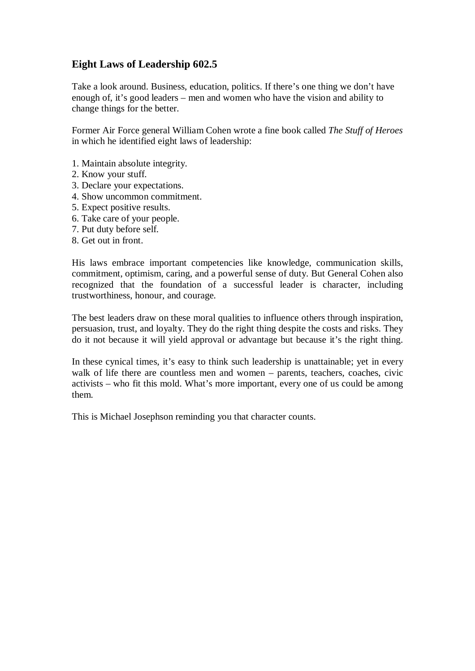## **Eight Laws of Leadership 602.5**

Take a look around. Business, education, politics. If there's one thing we don't have enough of, it's good leaders – men and women who have the vision and ability to change things for the better.

Former Air Force general William Cohen wrote a fine book called *The Stuff of Heroes*  in which he identified eight laws of leadership:

- 1. Maintain absolute integrity.
- 2. Know your stuff.
- 3. Declare your expectations.
- 4. Show uncommon commitment.
- 5. Expect positive results.
- 6. Take care of your people.
- 7. Put duty before self.
- 8. Get out in front.

His laws embrace important competencies like knowledge, communication skills, commitment, optimism, caring, and a powerful sense of duty. But General Cohen also recognized that the foundation of a successful leader is character, including trustworthiness, honour, and courage.

The best leaders draw on these moral qualities to influence others through inspiration, persuasion, trust, and loyalty. They do the right thing despite the costs and risks. They do it not because it will yield approval or advantage but because it's the right thing.

In these cynical times, it's easy to think such leadership is unattainable; yet in every walk of life there are countless men and women – parents, teachers, coaches, civic activists – who fit this mold. What's more important, every one of us could be among them.

This is Michael Josephson reminding you that character counts.